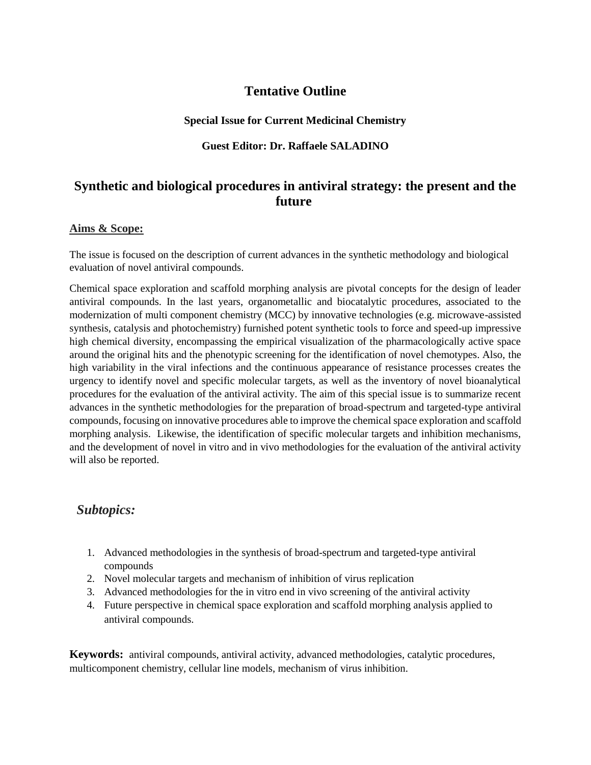# **Tentative Outline**

#### **Special Issue for Current Medicinal Chemistry**

#### **Guest Editor: Dr. Raffaele SALADINO**

# **Synthetic and biological procedures in antiviral strategy: the present and the future**

#### **Aims & Scope:**

The issue is focused on the description of current advances in the synthetic methodology and biological evaluation of novel antiviral compounds.

Chemical space exploration and scaffold morphing analysis are pivotal concepts for the design of leader antiviral compounds. In the last years, organometallic and biocatalytic procedures, associated to the modernization of multi component chemistry (MCC) by innovative technologies (e.g. microwave-assisted synthesis, catalysis and photochemistry) furnished potent synthetic tools to force and speed-up impressive high chemical diversity, encompassing the empirical visualization of the pharmacologically active space around the original hits and the phenotypic screening for the identification of novel chemotypes. Also, the high variability in the viral infections and the continuous appearance of resistance processes creates the urgency to identify novel and specific molecular targets, as well as the inventory of novel bioanalytical procedures for the evaluation of the antiviral activity. The aim of this special issue is to summarize recent advances in the synthetic methodologies for the preparation of broad-spectrum and targeted-type antiviral compounds, focusing on innovative procedures able to improve the chemical space exploration and scaffold morphing analysis. Likewise, the identification of specific molecular targets and inhibition mechanisms, and the development of novel in vitro and in vivo methodologies for the evaluation of the antiviral activity will also be reported.

### *Subtopics:*

- 1. Advanced methodologies in the synthesis of broad-spectrum and targeted-type antiviral compounds
- 2. Novel molecular targets and mechanism of inhibition of virus replication
- 3. Advanced methodologies for the in vitro end in vivo screening of the antiviral activity
- 4. Future perspective in chemical space exploration and scaffold morphing analysis applied to antiviral compounds.

**Keywords:** antiviral compounds, antiviral activity, advanced methodologies, catalytic procedures, multicomponent chemistry, cellular line models, mechanism of virus inhibition.